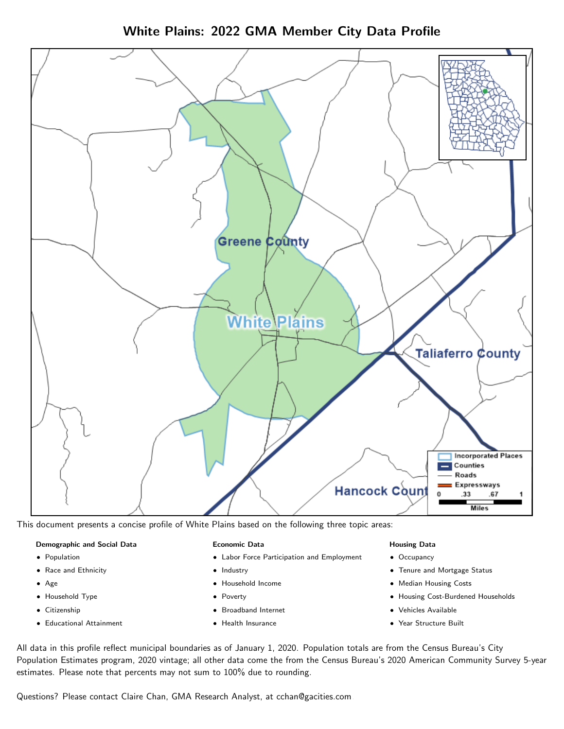White Plains: 2022 GMA Member City Data Profile



This document presents a concise profile of White Plains based on the following three topic areas:

### Demographic and Social Data

- **•** Population
- Race and Ethnicity
- Age
- Household Type
- **Citizenship**
- Educational Attainment

### Economic Data

- Labor Force Participation and Employment
- Industry
- Household Income
- Poverty
- Broadband Internet
- Health Insurance

### Housing Data

- Occupancy
- Tenure and Mortgage Status
- Median Housing Costs
- Housing Cost-Burdened Households
- Vehicles Available
- Year Structure Built

All data in this profile reflect municipal boundaries as of January 1, 2020. Population totals are from the Census Bureau's City Population Estimates program, 2020 vintage; all other data come the from the Census Bureau's 2020 American Community Survey 5-year estimates. Please note that percents may not sum to 100% due to rounding.

Questions? Please contact Claire Chan, GMA Research Analyst, at [cchan@gacities.com.](mailto:cchan@gacities.com)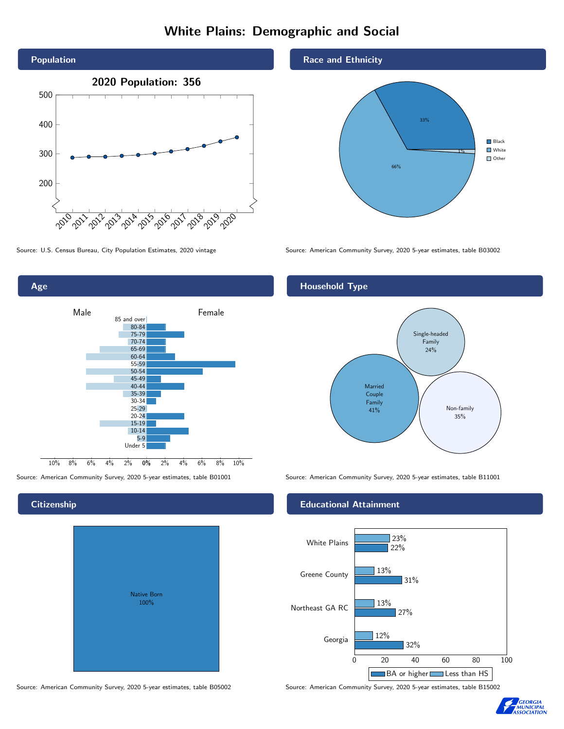# White Plains: Demographic and Social



0% 2% 4% 6% 8% 10% Male **Female** 10% 8% 6% 4% 2% 85 and over 80-84 75-79 70-74 65-69 60-64 55-59 50-54 45-49 40-44 35-39 30-34 25-29 20-24 15-19 10-14 5-9 Under 5



#### Race and Ethnicity



Source: U.S. Census Bureau, City Population Estimates, 2020 vintage Source: American Community Survey, 2020 5-year estimates, table B03002

### Household Type



Source: American Community Survey, 2020 5-year estimates, table B01001 Source: American Community Survey, 2020 5-year estimates, table B11001

#### Educational Attainment



Source: American Community Survey, 2020 5-year estimates, table B05002 Source: American Community Survey, 2020 5-year estimates, table B15002



#### **Citizenship**

Age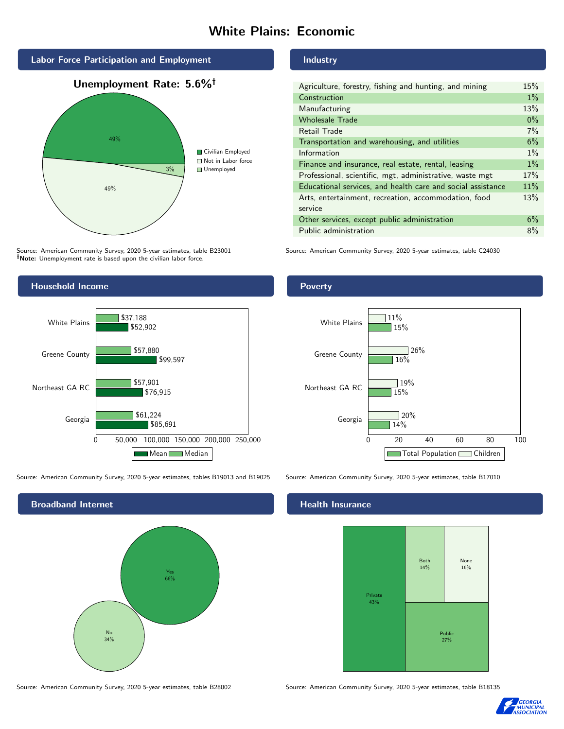# White Plains: Economic



Source: American Community Survey, 2020 5-year estimates, table B23001 Note: Unemployment rate is based upon the civilian labor force.

### Household Income



Source: American Community Survey, 2020 5-year estimates, tables B19013 and B19025 Source: American Community Survey, 2020 5-year estimates, table B17010

Broadband Internet No 34% Yes 66%

# Industry

| Agriculture, forestry, fishing and hunting, and mining      | 15%   |
|-------------------------------------------------------------|-------|
| Construction                                                | $1\%$ |
| Manufacturing                                               | 13%   |
| <b>Wholesale Trade</b>                                      | $0\%$ |
| Retail Trade                                                | $7\%$ |
| Transportation and warehousing, and utilities               | 6%    |
| Information                                                 | $1\%$ |
| Finance and insurance, real estate, rental, leasing         | $1\%$ |
| Professional, scientific, mgt, administrative, waste mgt    | 17%   |
| Educational services, and health care and social assistance | 11%   |
| Arts, entertainment, recreation, accommodation, food        | 13%   |
| service                                                     |       |
| Other services, except public administration                | 6%    |
| Public administration                                       | 8%    |

Source: American Community Survey, 2020 5-year estimates, table C24030

### Poverty



### Health Insurance



Source: American Community Survey, 2020 5-year estimates, table B28002 Source: American Community Survey, 2020 5-year estimates, table B18135